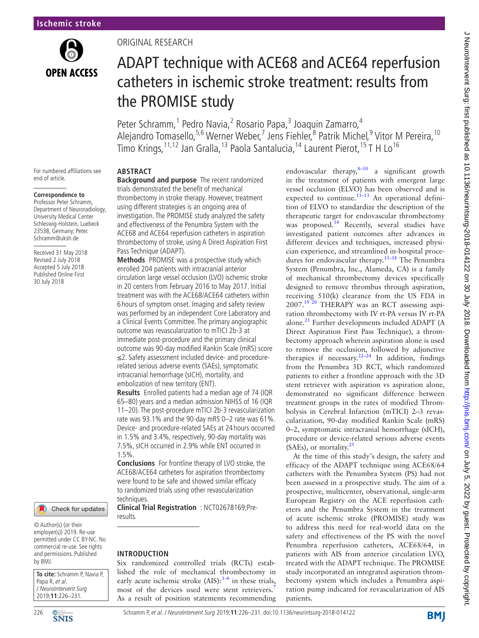

# Original research

# ADAPT technique with ACE68 and ACE64 reperfusion catheters in ischemic stroke treatment: results from the PROMISE study

Peter Schramm,<sup>1</sup> Pedro Navia,<sup>2</sup> Rosario Papa,<sup>3</sup> Joaquin Zamarro,<sup>4</sup> Alejandro Tomasello,<sup>5,6</sup> Werner Weber,<sup>7</sup> Jens Fiehler,<sup>8</sup> Patrik Michel,<sup>9</sup> Vitor M Pereira, <sup>10</sup> Timo Krings,<sup>11,12</sup> Jan Gralla,<sup>13</sup> Paola Santalucia,<sup>14</sup> Laurent Pierot,<sup>15</sup> T H Lo<sup>16</sup>

For numbered affiliations see end of article.

#### **Correspondence to**

Professor Peter Schramm, Department of Neuroradiology, University Medical Center Schleswig-Holstein, Luebeck 23538, Germany; Peter. Schramm@uksh.de

Received 31 May 2018 Revised 2 July 2018 Accepted 5 July 2018 Published Online First 30 July 2018

#### Check for updates

© Author(s) (or their employer(s)) 2019. Re-use permitted under CC BY-NC. No commercial re-use. See rights and permissions. Published by BMJ.

**To cite:** Schramm P, Navia P, Papa R, et al. J NeuroIntervent Surg 2019;**11**:226–231.



# **Abstract**

**Background and purpose** The recent randomized trials demonstrated the benefit of mechanical thrombectomy in stroke therapy. However, treatment using different strategies is an ongoing area of investigation. The PROMISE study analyzed the safety and effectiveness of the Penumbra System with the ACE68 and ACE64 reperfusion catheters in aspiration thrombectomy of stroke, using A Direct Aspiration First Pass Technique (ADAPT).

**Methods** PROMISE was a prospective study which enrolled 204 patients with intracranial anterior circulation large vessel occlusion (LVO) ischemic stroke in 20 centers from February 2016 to May 2017. Initial treatment was with the ACE68/ACE64 catheters within 6 hours of symptom onset. Imaging and safety review was performed by an independent Core Laboratory and a Clinical Events Committee. The primary angiographic outcome was revascularization to mTICI 2b-3 at immediate post-procedure and the primary clinical outcome was 90-day modified Rankin Scale (mRS) score ≤2. Safety assessment included device- and procedurerelated serious adverse events (SAEs), symptomatic intracranial hemorrhage (sICH), mortality, and embolization of new territory (ENT).

**Results** Enrolled patients had a median age of 74 (IQR 65–80) years and a median admission NIHSS of 16 (IQR 11–20). The post-procedure mTICI 2b-3 revascularization rate was 93.1% and the 90-day mRS 0–2 rate was 61%. Device- and procedure-related SAEs at 24 hours occurred in 1.5% and 3.4%, respectively, 90-day mortality was 7.5%, sICH occurred in 2.9% while ENT occurred in 1.5%.

**Conclusions** For frontline therapy of LVO stroke, the ACE 68/ACE64 catheters for aspiration thrombectomy were found to be safe and showed similar efficacy to randomized trials using other revascularization techniques.

**Clinical Trial Registration** : [NCT02678169;](NCT02678169)Preresults.

#### **Introduction**

Six randomized controlled trials (RCTs) established the role of mechanical thrombectomy in early acute ischemic stroke  $(AIS):^{1-6}$  in these trials, most of the devices used were stent retrievers. As a result of position statements recommending endovascular therapy, $8-10$  a significant growth in the treatment of patients with emergent large vessel occlusion (ELVO) has been observed and is expected to continue.<sup>11–13</sup> An operational definition of ELVO to standardize the description of the therapeutic target for endovascular thrombectomy was proposed.<sup>14</sup> Recently, several studies have investigated patient outcomes after advances in different devices and techniques, increased physician experience, and streamlined in-hospital procedures for endovascular therapy.[15–18](#page-5-5) The Penumbra System (Penumbra, Inc., Alameda, CA) is a family of mechanical thrombectomy devices specifically designed to remove thrombus through aspiration, receiving 510(k) clearance from the US FDA in  $2007$ .<sup>[19 20](#page-5-6)</sup> THERAPY was an RCT assessing aspiration thrombectomy with IV rt-PA versus IV rt-PA alone. $^{21}$  $^{21}$  $^{21}$  Further developments included ADAPT (A Direct Aspiration First Pass Technique), a thrombectomy approach wherein aspiration alone is used to remove the occlusion, followed by adjunctive therapies if necessary. $22-24$  In addition, findings from the Penumbra 3D RCT, which randomized patients to either a frontline approach with the 3D stent retriever with aspiration vs aspiration alone, demonstrated no significant difference between treatment groups in the rates of modified Thrombolysis in Cerebral Infarction (mTICI) 2–3 revascularization, 90-day modified Rankin Scale (mRS) 0–2, symptomatic intracranial hemorrhage (sICH), procedure or device-related serious adverse events (SAEs), or mortality. $^{25}$ 

At the time of this study's design, the safety and efficacy of the ADAPT technique using ACE68/64 catheters with the Penumbra System (PS) had not been assessed in a prospective study. The aim of a prospective, multicenter, observational, single-arm European Registry on the ACE reperfusion catheters and the Penumbra System in the treatment of acute ischemic stroke (PROMISE) study was to address this need for real-world data on the safety and effectiveness of the PS with the novel Penumbra reperfusion catheters, ACE68/64, in patients with AIS from anterior circulation LVO, treated with the ADAPT technique. The PROMISE study incorporated an integrated aspiration thrombectomy system which includes a Penumbra aspiration pump indicated for revascularization of AIS patients.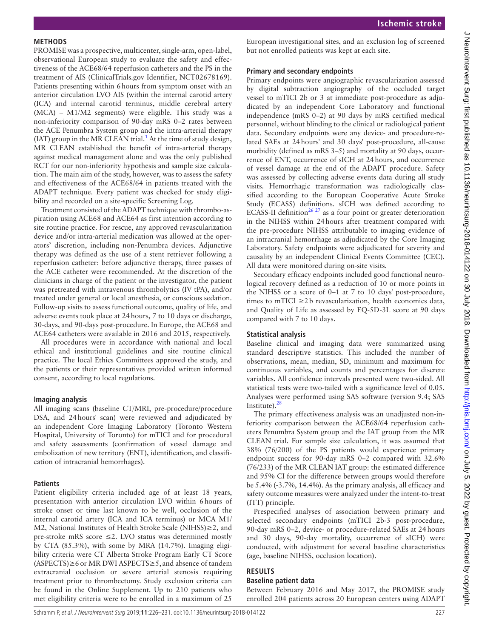## **Methods**

PROMISE was a prospective, multicenter, single-arm, open-label, observational European study to evaluate the safety and effectiveness of the ACE68/64 reperfusion catheters and the PS in the treatment of AIS (ClinicalTrials.gov Identifier, NCT02678169). Patients presenting within 6hours from symptom onset with an anterior circulation LVO AIS (within the internal carotid artery (ICA) and internal carotid terminus, middle cerebral artery (MCA) – M1/M2 segments) were eligible. This study was a non-inferiority comparison of 90-day mRS 0–2 rates between the ACE Penumbra System group and the intra-arterial therapy  $(IAT)$  group in the MR CLEAN trial.<sup>1</sup> At the time of study design, MR CLEAN established the benefit of intra-arterial therapy against medical management alone and was the only published RCT for our non-inferiority hypothesis and sample size calculation. The main aim of the study, however, was to assess the safety and effectiveness of the ACE68/64 in patients treated with the ADAPT technique. Every patient was checked for study eligibility and recorded on a site-specific Screening Log.

Treatment consisted of the ADAPT technique with thrombo-aspiration using ACE68 and ACE64 as first intention according to site routine practice. For rescue, any approved revascularization device and/or intra-arterial medication was allowed at the operators' discretion, including non-Penumbra devices. Adjunctive therapy was defined as the use of a stent retriever following a reperfusion catheter: before adjunctive therapy, three passes of the ACE catheter were recommended. At the discretion of the clinicians in charge of the patient or the investigator, the patient was pretreated with intravenous thrombolytics (IV tPA), and/or treated under general or local anesthesia, or conscious sedation. Follow-up visits to assess functional outcome, quality of life, and adverse events took place at 24hours, 7 to 10 days or discharge, 30-days, and 90-days post-procedure. In Europe, the ACE68 and ACE64 catheters were available in 2016 and 2015, respectively.

All procedures were in accordance with national and local ethical and institutional guidelines and site routine clinical practice. The local Ethics Committees approved the study, and the patients or their representatives provided written informed consent, according to local regulations.

#### **Imaging analysis**

All imaging scans (baseline CT/MRI, pre-procedure/procedure DSA, and 24hours' scan) were reviewed and adjudicated by an independent Core Imaging Laboratory (Toronto Western Hospital, University of Toronto) for mTICI and for procedural and safety assessments (confirmation of vessel damage and embolization of new territory (ENT), identification, and classification of intracranial hemorrhages).

#### **Patients**

Patient eligibility criteria included age of at least 18 years, presentation with anterior circulation LVO within 6hours of stroke onset or time last known to be well, occlusion of the internal carotid artery (ICA and ICA terminus) or MCA M1/ M2, National Institutes of Health Stroke Scale (NIHSS)≥2, and pre-stroke mRS score  $\leq$ 2. LVO status was determined mostly by CTA (85.3%), with some by MRA (14.7%). Imaging eligibility criteria were CT Alberta Stroke Program Early CT Score  $(ASPECTS) \ge 6$  or MR DWI ASPECTS $\ge 5$ , and absence of tandem extracranial occlusion or severe arterial stenosis requiring treatment prior to thrombectomy. Study exclusion criteria can be found in the Online Supplement. Up to 210 patients who met eligibility criteria were to be enrolled in a maximum of 25

European investigational sites, and an exclusion log of screened but not enrolled patients was kept at each site.

# **Primary and secondary endpoints**

Primary endpoints were angiographic revascularization assessed by digital subtraction angiography of the occluded target vessel to mTICI 2b or 3 at immediate post-procedure as adjudicated by an independent Core Laboratory and functional independence (mRS 0–2) at 90 days by mRS certified medical personnel, without blinding to the clinical or radiological patient data. Secondary endpoints were any device- and procedure-related SAEs at 24hours' and 30 days' post-procedure, all-cause morbidity (defined as mRS 3–5) and mortality at 90 days, occurrence of ENT, occurrence of sICH at 24hours, and occurrence of vessel damage at the end of the ADAPT procedure. Safety was assessed by collecting adverse events data during all study visits. Hemorrhagic transformation was radiologically classified according to the European Cooperative Acute Stroke Study (ECASS) definitions. sICH was defined according to ECASS-II definition<sup>26 27</sup> as a four point or greater deterioration in the NIHSS within 24hours after treatment compared with the pre-procedure NIHSS attributable to imaging evidence of an intracranial hemorrhage as adjudicated by the Core Imaging Laboratory. Safety endpoints were adjudicated for severity and causality by an independent Clinical Events Committee (CEC). All data were monitored during on-site visits.

Secondary efficacy endpoints included good functional neurological recovery defined as a reduction of 10 or more points in the NIHSS or a score of 0–1 at 7 to 10 days' post-procedure, times to mTICI  $\geq$ 2b revascularization, health economics data, and Quality of Life as assessed by EQ-5D-3L score at 90 days compared with 7 to 10 days.

## **Statistical analysis**

Baseline clinical and imaging data were summarized using standard descriptive statistics. This included the number of observations, mean, median, SD, minimum and maximum for continuous variables, and counts and percentages for discrete variables. All confidence intervals presented were two-sided. All statistical tests were two-tailed with a significance level of 0.05. Analyses were performed using SAS software (version 9.4; SAS Institute). $28$ 

The primary effectiveness analysis was an unadjusted non-inferiority comparison between the ACE68/64 reperfusion catheters Penumbra System group and the IAT group from the MR CLEAN trial. For sample size calculation, it was assumed that 38% (76/200) of the PS patients would experience primary endpoint success for 90-day mRS 0–2 compared with 32.6% (76/233) of the MR CLEAN IAT group: the estimated difference and 95% CI for the difference between groups would therefore be 5.4% (-3.7%, 14.4%). As the primary analysis, all efficacy and safety outcome measures were analyzed under the intent-to-treat (ITT) principle.

Prespecified analyses of association between primary and selected secondary endpoints (mTICI 2b-3 post-procedure, 90-day mRS 0–2, device- or procedure-related SAEs at 24hours and 30 days, 90-day mortality, occurrence of sICH) were conducted, with adjustment for several baseline characteristics (age, baseline NIHSS, occlusion location).

# **Results**

## **Baseline patient data**

Between February 2016 and May 2017, the PROMISE study enrolled 204 patients across 20 European centers using ADAPT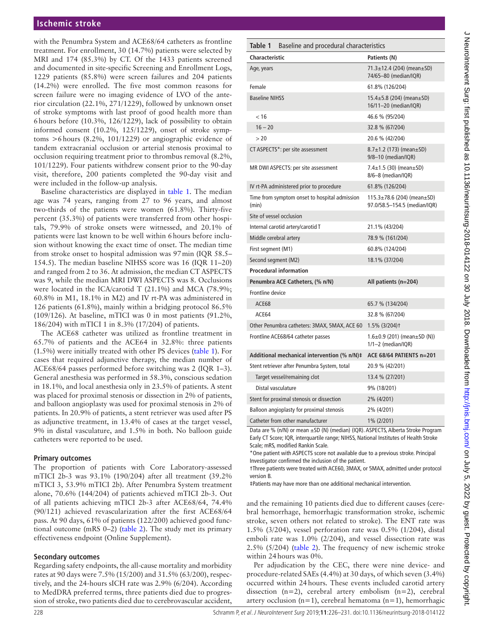with the Penumbra System and ACE68/64 catheters as frontline treatment. For enrollment, 30 (14.7%) patients were selected by MRI and 174 (85.3%) by CT. Of the 1433 patients screened and documented in site-specific Screening and Enrollment Logs, 1229 patients (85.8%) were screen failures and 204 patients (14.2%) were enrolled. The five most common reasons for screen failure were no imaging evidence of LVO of the anterior circulation (22.1%, 271/1229), followed by unknown onset of stroke symptoms with last proof of good health more than 6hours before (10.3%, 126/1229), lack of possibility to obtain informed consent (10.2%, 125/1229), onset of stroke symptoms >6hours (8.2%, 101/1229) or angiographic evidence of tandem extracranial occlusion or arterial stenosis proximal to occlusion requiring treatment prior to thrombus removal (8.2%, 101/1229). Four patients withdrew consent prior to the 90-day visit, therefore, 200 patients completed the 90-day visit and were included in the follow-up analysis.

Baseline characteristics are displayed in [table](#page-2-0) 1. The median age was 74 years, ranging from 27 to 96 years, and almost two-thirds of the patients were women (61.8%). Thirty-five percent (35.3%) of patients were transferred from other hospitals, 79.9% of stroke onsets were witnessed, and 20.1% of patients were last known to be well within 6hours before inclusion without knowing the exact time of onset. The median time from stroke onset to hospital admission was 97min (IQR 58.5– 154.5). The median baseline NIHSS score was 16 (IQR 11–20) and ranged from 2 to 36. At admission, the median CT ASPECTS was 9, while the median MRI DWI ASPECTS was 8. Occlusions were located in the ICA/carotid T (21.1%) and MCA (78.9%; 60.8% in M1, 18.1% in M2) and IV rt-PA was administered in 126 patients (61.8%), mainly within a bridging protocol 86.5% (109/126). At baseline, mTICI was 0 in most patients (91.2%, 186/204) with mTICI 1 in 8.3% (17/204) of patients.

The ACE68 catheter was utilized as frontline treatment in 65.7% of patients and the ACE64 in 32.8%: three patients (1.5%) were initially treated with other PS devices [\(table](#page-2-0) 1). For cases that required adjunctive therapy, the median number of ACE68/64 passes performed before switching was 2 (IQR 1–3). General anesthesia was performed in 58.3%, conscious sedation in 18.1%, and local anesthesia only in 23.5% of patients. A stent was placed for proximal stenosis or dissection in 2% of patients, and balloon angioplasty was used for proximal stenosis in 2% of patients. In 20.9% of patients, a stent retriever was used after PS as adjunctive treatment, in 13.4% of cases at the target vessel, 9% in distal vasculature, and 1.5% in both. No balloon guide catheters were reported to be used.

#### **Primary outcomes**

The proportion of patients with Core Laboratory-assessed mTICI 2b-3 was 93.1% (190/204) after all treatment (39.2% mTICI 3, 53.9% mTICI 2b). After Penumbra System treatment alone, 70.6% (144/204) of patients achieved mTICI 2b-3. Out of all patients achieving mTICI 2b-3 after ACE68/64, 74.4% (90/121) achieved revascularization after the first ACE68/64 pass. At 90 days, 61% of patients (122/200) achieved good functional outcome (mRS 0–2) ([table](#page-3-0) 2). The study met its primary effectiveness endpoint (Online Supplement).

## **Secondary outcomes**

Regarding safety endpoints, the all-cause mortality and morbidity rates at 90 days were 7.5% (15/200) and 31.5% (63/200), respectively, and the 24-hours sICH rate was 2.9% (6/204). According to MedDRA preferred terms, three patients died due to progression of stroke, two patients died due to cerebrovascular accident,

<span id="page-2-0"></span>

| Table 1<br>Baseline and procedural characteristics     |                                                                        |
|--------------------------------------------------------|------------------------------------------------------------------------|
| <b>Characteristic</b>                                  | Patients (N)                                                           |
| Age, years                                             | $71.3 \pm 12.4$ (204) (mean $\pm$ SD)<br>74/65-80 (median/IQR)         |
| Female                                                 | 61.8% (126/204)                                                        |
| <b>Baseline NIHSS</b>                                  | 15.4±5.8 (204) (mean±SD)<br>16/11-20 (median/IQR)                      |
| < 16                                                   | 46.6 % (95/204)                                                        |
| $16 - 20$                                              | 32.8 % (67/204)                                                        |
| > 20                                                   | 20.6 % (42/204)                                                        |
| CT ASPECTS*: per site assessment                       | $8.7\pm1.2$ (173) (mean $\pm$ SD)<br>9/8-10 (median/IQR)               |
| MR DWI ASPECTS: per site assessment                    | 7.4 $\pm$ 1.5 (30) (mean $\pm$ SD)<br>8/6-8 (median/IQR)               |
| IV rt-PA administered prior to procedure               | 61.8% (126/204)                                                        |
| Time from symptom onset to hospital admission<br>(min) | $115.3 \pm 78.6$ (204) (mean $\pm$ SD)<br>97.0/58.5-154.5 (median/IQR) |
| Site of vessel occlusion                               |                                                                        |
| Internal carotid artery/carotid T                      | 21.1% (43/204)                                                         |
| Middle cerebral artery                                 | 78.9 % (161/204)                                                       |
| First segment (M1)                                     | 60.8% (124/204)                                                        |
| Second segment (M2)                                    | 18.1% (37/204)                                                         |
| <b>Procedural information</b>                          |                                                                        |
| Penumbra ACE Catheters, (% n/N)                        | All patients (n=204)                                                   |
| Frontline device                                       |                                                                        |
| ACE68                                                  | 65.7 % (134/204)                                                       |
| ACE64                                                  | 32.8 % (67/204)                                                        |
| Other Penumbra catheters: 3MAX, 5MAX, ACE 60           | 1.5% (3/204)t                                                          |
| Frontline ACE68/64 catheter passes                     | $1.6 \pm 0.9$ (201) (mean $\pm$ SD (N))<br>1/1–2 (median/IQR)          |
| Additional mechanical intervention (% n/N)‡            | ACE 68/64 PATIENTS n=201                                               |
| Stent retriever after Penumbra System, total           | 20.9 % (42/201)                                                        |
| Target vessel/remaining clot                           | 13.4 % (27/201)                                                        |
| Distal vasculature                                     | 9% (18/201)                                                            |
| Stent for proximal stenosis or dissection              | 2% (4/201)                                                             |
| Balloon angioplasty for proximal stenosis              | 2% (4/201)                                                             |
| Catheter from other manufacturer                       | 1% (2/201)                                                             |

Data are % (n/N) or mean ±SD (N) (median) (IQR). ASPECTS, Alberta Stroke Program Early CT Score; IQR, interquartile range; NIHSS, National Institutes of Health Stroke Scale; mRS, modified Rankin Scale.

\*One patient with ASPECTS score not available due to a previous stroke. Principal Investigator confirmed the inclusion of the patient.

†Three patients were treated with ACE60, 3MAX, or 5MAX, admitted under protocol version B

‡Patients may have more than one additional mechanical intervention.

and the remaining 10 patients died due to different causes (cerebral hemorrhage, hemorrhagic transformation stroke, ischemic stroke, seven others not related to stroke). The ENT rate was 1.5% (3/204), vessel perforation rate was 0.5% (1/204), distal emboli rate was 1.0% (2/204), and vessel dissection rate was 2.5% (5/204) ([table](#page-3-0) 2). The frequency of new ischemic stroke within 24hours was 0%.

Per adjudication by the CEC, there were nine device- and procedure-related SAEs (4.4%) at 30 days, of which seven (3.4%) occurred within 24hours. These events included carotid artery dissection (n=2), cerebral artery embolism (n=2), cerebral artery occlusion (n=1), cerebral hematoma (n=1), hemorrhagic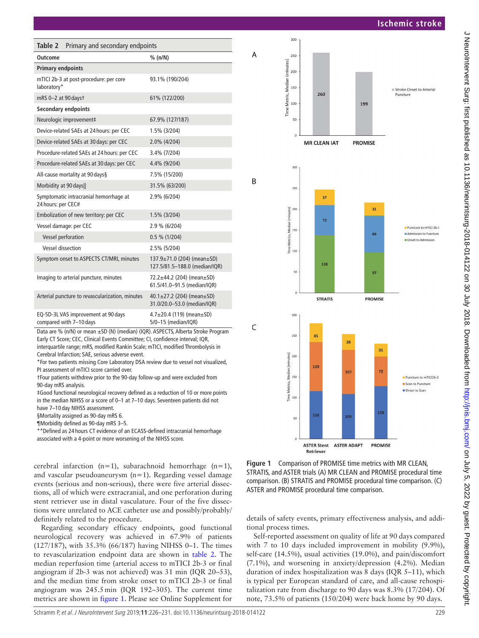**Ischemic stroke**

<span id="page-3-0"></span>

| Table 2<br>Primary and secondary endpoints                     |                                                                         |
|----------------------------------------------------------------|-------------------------------------------------------------------------|
| Outcome                                                        | % (n/N)                                                                 |
| <b>Primary endpoints</b>                                       |                                                                         |
| mTICI 2b-3 at post-procedure: per core<br>laboratory*          | 93.1% (190/204)                                                         |
| mRS 0-2 at 90 days t                                           | 61% (122/200)                                                           |
| <b>Secondary endpoints</b>                                     |                                                                         |
| Neurologic improvement‡                                        | 67.9% (127/187)                                                         |
| Device-related SAEs at 24 hours: per CEC                       | 1.5% (3/204)                                                            |
| Device-related SAEs at 30 days: per CEC                        | 2.0% (4/204)                                                            |
| Procedure-related SAEs at 24 hours: per CEC                    | 3.4% (7/204)                                                            |
| Procedure-related SAEs at 30 days: per CEC                     | 4.4% (9/204)                                                            |
| All-cause mortality at 90 days§                                | 7.5% (15/200)                                                           |
| Morbidity at 90 days                                           | 31.5% (63/200)                                                          |
| Symptomatic intracranial hemorrhage at<br>24 hours: per CEC#   | 2.9% (6/204)                                                            |
| Embolization of new territory: per CEC                         | 1.5% (3/204)                                                            |
| Vessel damage: per CEC                                         | 2.9 % (6/204)                                                           |
| Vessel perforation                                             | 0.5 % (1/204)                                                           |
| <b>Vessel dissection</b>                                       | 2.5% (5/204)                                                            |
| Symptom onset to ASPECTS CT/MRI, minutes                       | $137.9 \pm 71.0$ (204) (mean $\pm$ SD)<br>127.5/81.5-188.0 (median/IQR) |
| Imaging to arterial puncture, minutes                          | 72.2±44.2 (204) (mean±SD)<br>61.5/41.0-91.5 (median/IQR)                |
| Arterial puncture to revascularization, minutes                | $40.1 \pm 27.2$ (204) (mean $\pm$ SD)<br>31.0/20.0-53.0 (median/IQR)    |
| EQ-5D-3L VAS improvement at 90 days<br>compared with 7-10 days | $4.7 \pm 20.4$ (119) (mean $\pm$ SD)<br>5/0-15 (median/IQR)             |

are % (n/N) or mean  $\pm$ SD (N) (median) (IQR). ASPE Early CT Score; CEC, Clinical Events Committee; CI, confidence interval; IQR, interquartile range; mRS, modified Rankin Scale; mTICI, modified Thrombolysis in Cerebral Infarction; SAE, serious adverse event.

\*For two patients missing Core Laboratory DSA review due to vessel not visualized, PI assessment of mTICI score carried over.

†Four patients withdrew prior to the 90-day follow-up and were excluded from 90-day mRS analysis.

‡Good functional neurological recovery defined as a reduction of 10 or more points in the median NIHSS or a score of 0–1 at 7–10 days. Seventeen patients did not have 7-10 day NIHSS assessment.

§Mortality assigned as 90-day mRS 6.

¶Morbidity defined as 90-day mRS 3–5.

\*\*Defined as 24 hours CT evidence of an ECASS-defined intracranial hemorrhage associated with a 4-point or more worsening of the NIHSS score.

cerebral infarction (n=1), subarachnoid hemorrhage (n=1), and vascular pseudoaneurysm (n=1). Regarding vessel damage events (serious and non-serious), there were five arterial dissections, all of which were extracranial, and one perforation during stent retriever use in distal vasculature. Four of the five dissections were unrelated to ACE catheter use and possibly/probably/ definitely related to the procedure.

Regarding secondary efficacy endpoints, good functional neurological recovery was achieved in 67.9% of patients (127/187), with 35.3% (66/187) having NIHSS 0–1. The times to revascularization endpoint data are shown in [table](#page-3-0) 2. The median reperfusion time (arterial access to mTICI 2b-3 or final angiogram if 2b-3 was not achieved) was 31 min (IQR 20–53), and the median time from stroke onset to mTICI 2b-3 or final angiogram was 245.5min (IQR 192–305). The current time metrics are shown in [figure](#page-3-1) 1. Please see Online Supplement for



<span id="page-3-1"></span>**Figure 1** Comparison of PROMISE time metrics with MR CLEAN, STRATIS, and ASTER trials (A) MR CLEAN and PROMISE procedural time comparison. (B) STRATIS and PROMISE procedural time comparison. (C) ASTER and PROMISE procedural time comparison.

details of safety events, primary effectiveness analysis, and additional process times.

Self-reported assessment on quality of life at 90 days compared with 7 to 10 days included improvement in mobility (9.9%), self-care (14.5%), usual activities (19.0%), and pain/discomfort (7.1%), and worsening in anxiety/depression (4.2%). Median duration of index hospitalization was 8 days (IQR 5–11), which is typical per European standard of care, and all-cause rehospitalization rate from discharge to 90 days was 8.3% (17/204). Of note, 73.5% of patients (150/204) were back home by 90 days.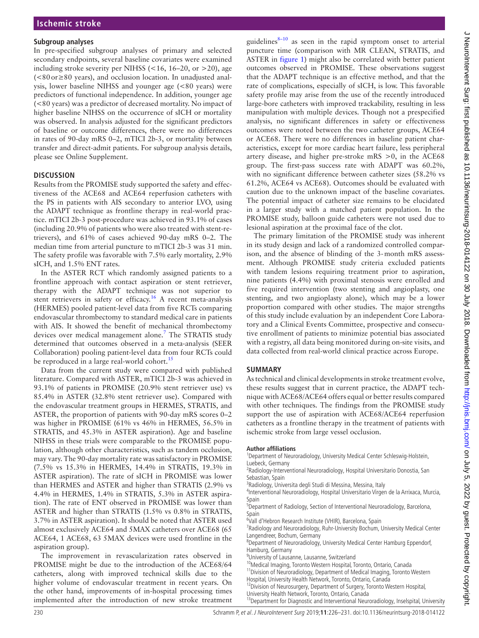#### **Subgroup analyses**

In pre-specified subgroup analyses of primary and selected secondary endpoints, several baseline covariates were examined including stroke severity per NIHSS ( $<$  16, 16–20, or  $>$  20), age (<80or≥80 years), and occlusion location. In unadjusted analysis, lower baseline NIHSS and younger age (<80 years) were predictors of functional independence. In addition, younger age (<80 years) was a predictor of decreased mortality. No impact of higher baseline NIHSS on the occurrence of sICH or mortality was observed. In analysis adjusted for the significant predictors of baseline or outcome differences, there were no differences in rates of 90-day mRS 0–2, mTICI 2b-3, or mortality between transfer and direct-admit patients. For subgroup analysis details, please see Online Supplement.

# **Discussion**

Results from the PROMISE study supported the safety and effectiveness of the ACE68 and ACE64 reperfusion catheters with the PS in patients with AIS secondary to anterior LVO, using the ADAPT technique as frontline therapy in real-world practice. mTICI 2b-3 post-procedure was achieved in 93.1% of cases (including 20.9% of patients who were also treated with stent-retrievers), and 61% of cases achieved 90-day mRS 0–2. The median time from arterial puncture to mTICI 2b-3 was 31 min. The safety profile was favorable with 7.5% early mortality, 2.9% sICH, and 1.5% ENT rates.

In the ASTER RCT which randomly assigned patients to a frontline approach with contact aspiration or stent retriever, therapy with the ADAPT technique was not superior to stent retrievers in safety or efficacy.<sup>[16](#page-5-12)</sup> A recent meta-analysis (HERMES) pooled patient-level data from five RCTs comparing endovascular thrombectomy to standard medical care in patients with AIS. It showed the benefit of mechanical thrombectomy devices over medical management alone.<sup>7</sup> The STRATIS study determined that outcomes observed in a meta-analysis (SEER Collaboration) pooling patient-level data from four RCTs could be reproduced in a large real-world cohort.<sup>[15](#page-5-5)</sup>

Data from the current study were compared with published literature. Compared with ASTER, mTICI 2b-3 was achieved in 93.1% of patients in PROMISE (20.9% stent retriever use) vs 85.4% in ASTER (32.8% stent retriever use). Compared with the endovascular treatment groups in HERMES, STRATIS, and ASTER, the proportion of patients with 90-day mRS scores 0–2 was higher in PROMISE (61% vs 46% in HERMES, 56.5% in STRATIS, and 45.3% in ASTER aspiration). Age and baseline NIHSS in these trials were comparable to the PROMISE population, although other characteristics, such as tandem occlusion, may vary. The 90-day mortality rate was satisfactory in PROMISE (7.5% vs 15.3% in HERMES, 14.4% in STRATIS, 19.3% in ASTER aspiration). The rate of sICH in PROMISE was lower than HERMES and ASTER and higher than STRATIS (2.9% vs 4.4% in HERMES, 1.4% in STRATIS, 5.3% in ASTER aspiration). The rate of ENT observed in PROMISE was lower than ASTER and higher than STRATIS (1.5% vs 0.8% in STRATIS, 3.7% in ASTER aspiration). It should be noted that ASTER used almost exclusively ACE64 and 5MAX catheters over ACE68 (65 ACE64, 1 ACE68, 63 5MAX devices were used frontline in the aspiration group).

The improvement in revascularization rates observed in PROMISE might be due to the introduction of the ACE68/64 catheters, along with improved technical skills due to the higher volume of endovascular treatment in recent years. On the other hand, improvements of in-hospital processing times implemented after the introduction of new stroke treatment

guidelines $8-10$  as seen in the rapid symptom onset to arterial puncture time (comparison with MR CLEAN, STRATIS, and ASTER in [figure](#page-3-1) 1) might also be correlated with better patient outcomes observed in PROMISE. These observations suggest that the ADAPT technique is an effective method, and that the rate of complications, especially of sICH, is low. This favorable safety profile may arise from the use of the recently introduced large-bore catheters with improved trackability, resulting in less manipulation with multiple devices. Though not a prespecified analysis, no significant differences in safety or effectiveness outcomes were noted between the two catheter groups, ACE64 or ACE68. There were no differences in baseline patient characteristics, except for more cardiac heart failure, less peripheral artery disease, and higher pre-stroke mRS >0, in the ACE68 group. The first-pass success rate with ADAPT was 60.2%, with no significant difference between catheter sizes (58.2% vs 61.2%, ACE64 vs ACE68). Outcomes should be evaluated with caution due to the unknown impact of the baseline covariates. The potential impact of catheter size remains to be elucidated in a larger study with a matched patient population. In the PROMISE study, balloon guide catheters were not used due to lesional aspiration at the proximal face of the clot.

The primary limitation of the PROMISE study was inherent in its study design and lack of a randomized controlled comparison, and the absence of blinding of the 3-month mRS assessment. Although PROMISE study criteria excluded patients with tandem lesions requiring treatment prior to aspiration, nine patients (4.4%) with proximal stenosis were enrolled and five required intervention (two stenting and angioplasty, one stenting, and two angioplasty alone), which may be a lower proportion compared with other studies. The major strengths of this study include evaluation by an independent Core Laboratory and a Clinical Events Committee, prospective and consecutive enrollment of patients to minimize potential bias associated with a registry, all data being monitored during on-site visits, and data collected from real-world clinical practice across Europe.

# **Summary**

As technical and clinical developments in stroke treatment evolve, these results suggest that in current practice, the ADAPT technique with ACE68/ACE64 offers equal or better results compared with other techniques. The findings from the PROMISE study support the use of aspiration with ACE68/ACE64 reperfusion catheters as a frontline therapy in the treatment of patients with ischemic stroke from large vessel occlusion.

#### **Author affiliations**

<sup>1</sup>Department of Neuroradiology, University Medical Center Schleswig-Holstein, Luebeck, Germany <sup>2</sup>

<sup>2</sup>Radiology-Interventional Neuroradiology, Hospital Universitario Donostia, San Sebastian, Spain

<sup>3</sup>Radiology, Universita degli Studi di Messina, Messina, Italy

<sup>4</sup>Interventional Neuroradiology, Hospital Universitario Virgen de la Arrixaca, Murcia, Spain

<sup>5</sup>Department of Radiology, Section of Interventional Neuroradiology, Barcelona, Spain

<sup>6</sup>Vall d'Hebron Research Institute (VHIR), Barcelona, Spain<br><sup>7</sup> Padiology and Nouroradiology, Pubr University Rochum

<sup>7</sup>Radiology and Neuroradiology, Ruhr-University Bochum, University Medical Center Langendreer, Bochum, Germany

Department of Neuroradiology, University Medical Center Hamburg Eppendorf, Hamburg, Germany<br><sup>9</sup>University of Lausanne, Lausanne, Switzerland

<sup>10</sup>Medical Imaging, Toronto Western Hospital, Toronto, Ontario, Canada<br><sup>11</sup> Division of Neuroradiology, Department of Medical Imaging, Toronto Western<br>Hospital, University Health Network, Toronto, Ontario, Canada

<sup>12</sup> Division of Neurosurgery, Department of Surgery, Toronto Western Hospital,<br>University Health Network, Toronto, Ontario, Canada

 $^{13}$ Department for Diagnostic and Interventional Neuroradiology, Inselspital, University